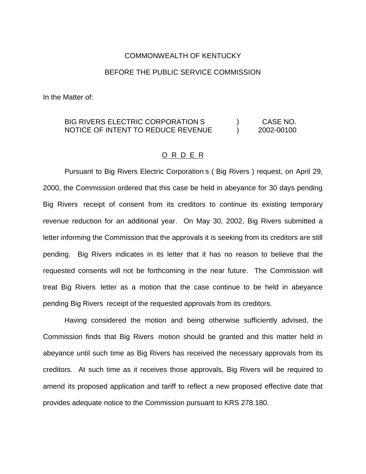## COMMONWEALTH OF KENTUCKY

## BEFORE THE PUBLIC SERVICE COMMISSION

In the Matter of:

## BIG RIVERS ELECTRIC CORPORATION S ) CASE NO. NOTICE OF INTENT TO REDUCE REVENUE ) 2002-00100

## O R D E R

Pursuant to Big Rivers Electric Corporation s ( Big Rivers ) request, on April 29, 2000, the Commission ordered that this case be held in abeyance for 30 days pending Big Rivers receipt of consent from its creditors to continue its existing temporary revenue reduction for an additional year. On May 30, 2002, Big Rivers submitted a letter informing the Commission that the approvals it is seeking from its creditors are still pending. Big Rivers indicates in its letter that it has no reason to believe that the requested consents will not be forthcoming in the near future. The Commission will treat Big Rivers letter as a motion that the case continue to be held in abeyance pending Big Rivers receipt of the requested approvals from its creditors.

Having considered the motion and being otherwise sufficiently advised, the Commission finds that Big Rivers motion should be granted and this matter held in abeyance until such time as Big Rivers has received the necessary approvals from its creditors. At such time as it receives those approvals, Big Rivers will be required to amend its proposed application and tariff to reflect a new proposed effective date that provides adequate notice to the Commission pursuant to KRS 278.180.